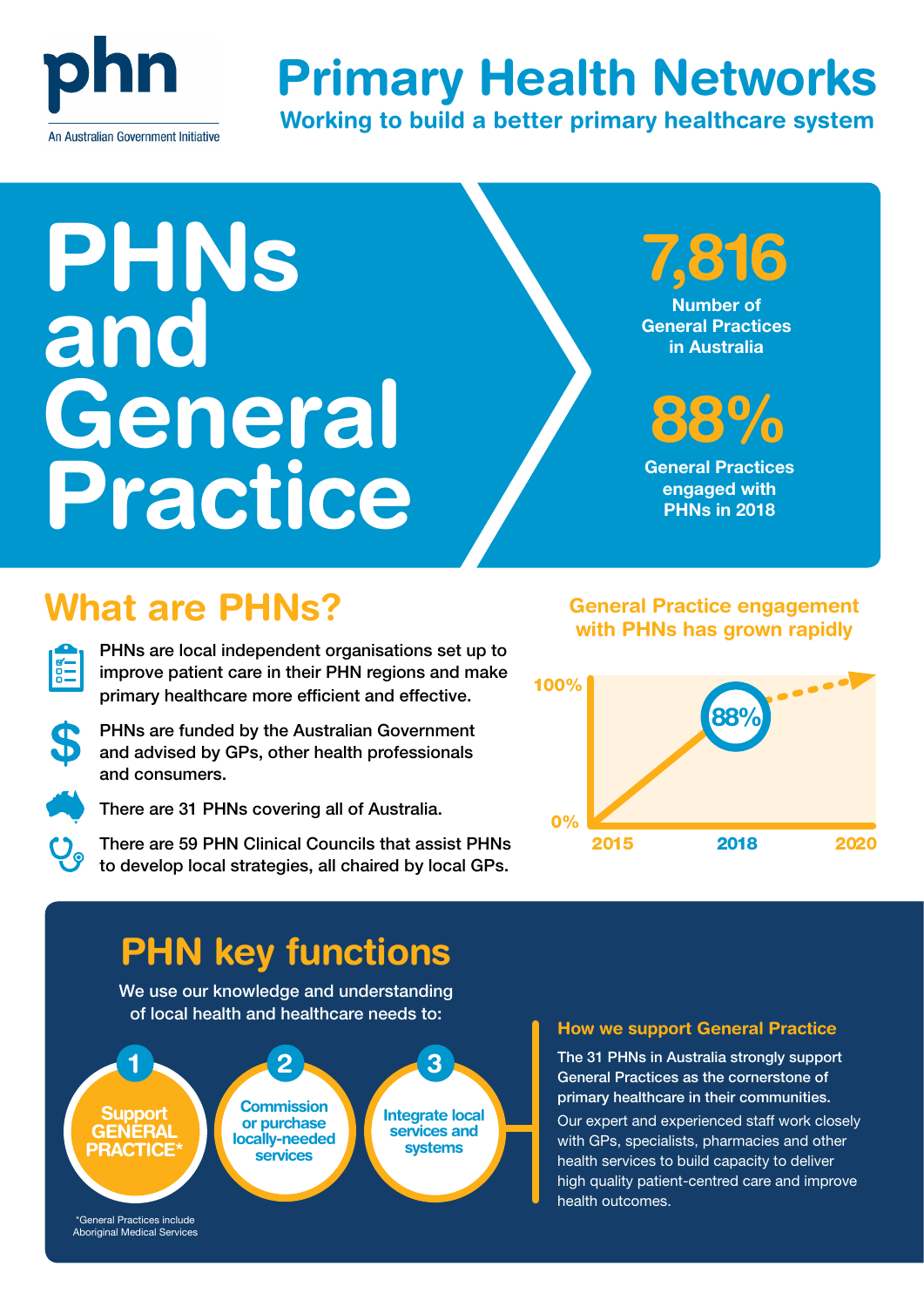

# Primary Health Networks

Working to build a better primary healthcare system

# PHNs and General Practice

7,816

Number of General Practices in Australia

# 88%

General Practices engaged with PHNs in 2018

## What are PHNs? General Practice engagement

PHNs are local independent organisations set up to improve patient care in their PHN regions and make primary healthcare more efficient and effective.

PHNs are funded by the Australian Government and advised by GPs, other health professionals and consumers.



 $\frac{1}{\sqrt{2}}$ 

There are 31 PHNs covering all of Australia.

There are 59 PHN Clinical Councils that assist PHNs to develop local strategies, all chaired by local GPs.

### with PHNs has grown rapidly



### PHN key functions

We use our knowledge and understanding of local health and healthcare needs to:



#### How we support General Practice

The 31 PHNs in Australia strongly support General Practices as the cornerstone of primary healthcare in their communities.

Our expert and experienced staff work closely with GPs, specialists, pharmacies and other health services to build capacity to deliver high quality patient-centred care and improve health outcomes.

Aboriginal Medical Services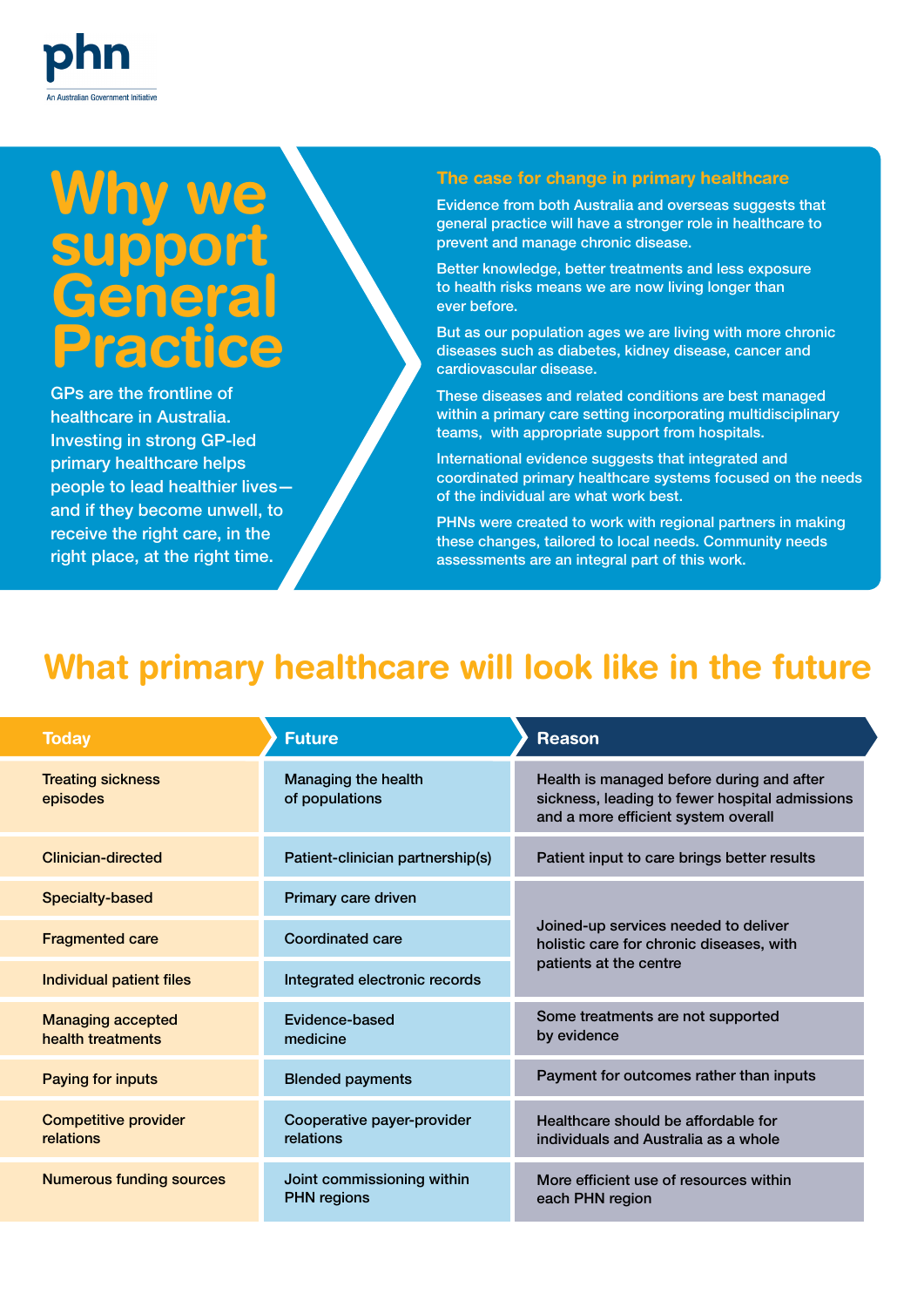# Why we support **General** Practice

GPs are the frontline of healthcare in Australia. Investing in strong GP-led primary healthcare helps people to lead healthier lives and if they become unwell, to receive the right care, in the right place, at the right time.

#### The case for change in primary healthcare

Evidence from both Australia and overseas suggests that general practice will have a stronger role in healthcare to prevent and manage chronic disease.

Better knowledge, better treatments and less exposure to health risks means we are now living longer than ever before.

But as our population ages we are living with more chronic diseases such as diabetes, kidney disease, cancer and cardiovascular disease.

These diseases and related conditions are best managed within a primary care setting incorporating multidisciplinary teams, with appropriate support from hospitals.

International evidence suggests that integrated and coordinated primary healthcare systems focused on the needs of the individual are what work best.

PHNs were created to work with regional partners in making these changes, tailored to local needs. Community needs assessments are an integral part of this work.

### What primary healthcare will look like in the future

| <b>Today</b>                                  | <b>Future</b>                                    | <b>Reason</b>                                                                                                                      |
|-----------------------------------------------|--------------------------------------------------|------------------------------------------------------------------------------------------------------------------------------------|
| <b>Treating sickness</b><br>episodes          | Managing the health<br>of populations            | Health is managed before during and after<br>sickness, leading to fewer hospital admissions<br>and a more efficient system overall |
| <b>Clinician-directed</b>                     | Patient-clinician partnership(s)                 | Patient input to care brings better results                                                                                        |
| <b>Specialty-based</b>                        | Primary care driven                              | Joined-up services needed to deliver<br>holistic care for chronic diseases, with<br>patients at the centre                         |
| <b>Fragmented care</b>                        | <b>Coordinated care</b>                          |                                                                                                                                    |
| <b>Individual patient files</b>               | Integrated electronic records                    |                                                                                                                                    |
| <b>Managing accepted</b><br>health treatments | Evidence-based<br>medicine                       | Some treatments are not supported<br>by evidence                                                                                   |
| <b>Paying for inputs</b>                      | <b>Blended payments</b>                          | Payment for outcomes rather than inputs                                                                                            |
| <b>Competitive provider</b><br>relations      | Cooperative payer-provider<br>relations          | Healthcare should be affordable for<br>individuals and Australia as a whole                                                        |
| <b>Numerous funding sources</b>               | Joint commissioning within<br><b>PHN</b> regions | More efficient use of resources within<br>each PHN region                                                                          |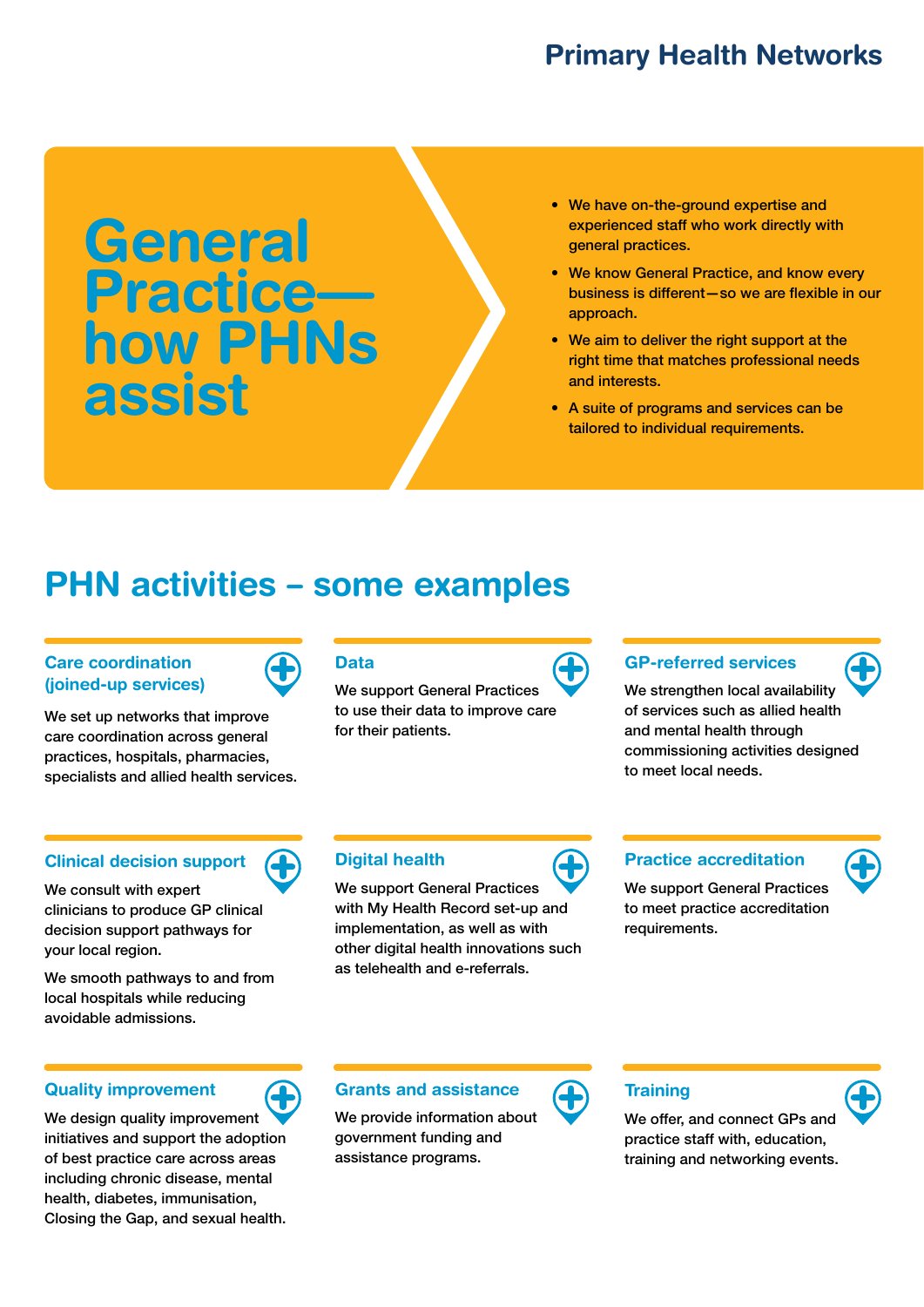### Primary Health Networks

# **General** Practice how PHNs assist

- We have on-the-ground expertise and experienced staff who work directly with general practices.
- We know General Practice, and know every business is different—so we are flexible in our approach.
- We aim to deliver the right support at the right time that matches professional needs and interests.
- A suite of programs and services can be tailored to individual requirements.

### PHN activities – some examples

#### Care coordination (joined-up services)

We set up networks that improve care coordination across general practices, hospitals, pharmacies, specialists and allied health services.

#### Clinical decision support

We consult with expert clinicians to produce GP clinical decision support pathways for your local region.

We smooth pathways to and from local hospitals while reducing avoidable admissions.

#### Quality improvement

We design quality improvement initiatives and support the adoption of best practice care across areas including chronic disease, mental health, diabetes, immunisation, Closing the Gap, and sexual health.

#### Data

We support General Practices to use their data to improve care for their patients.



#### GP-referred services

We strengthen local availability of services such as allied health and mental health through commissioning activities designed to meet local needs.

#### Digital health

We support General Practices with My Health Record set-up and implementation, as well as with other digital health innovations such as telehealth and e-referrals.

#### Practice accreditation

We support General Practices to meet practice accreditation requirements.

#### Grants and assistance

We provide information about government funding and assistance programs.



#### **Training**

We offer, and connect GPs and practice staff with, education, training and networking events.